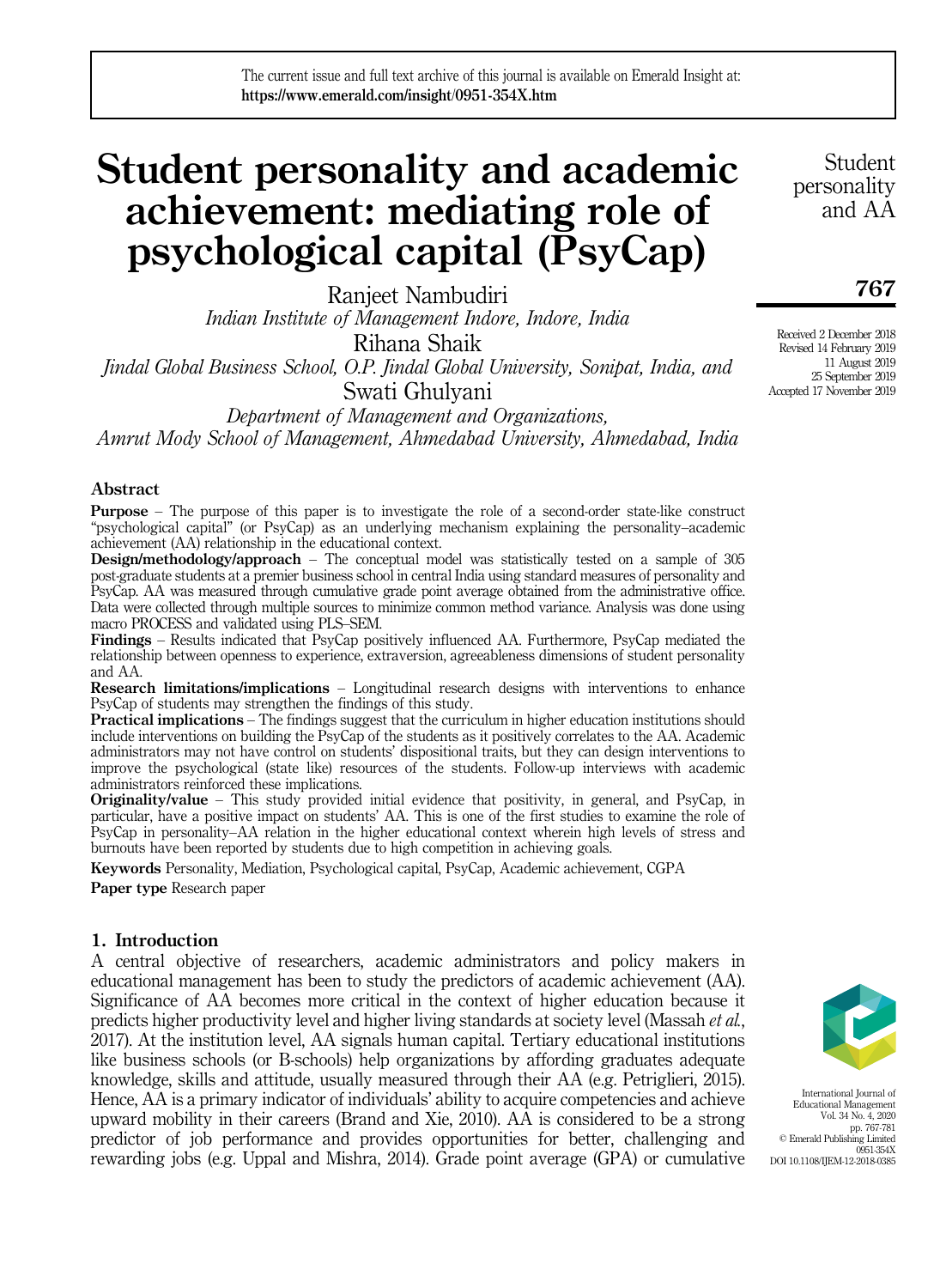# Student personality and academic achievement: mediating role of psychological capital (PsyCap)

Ranjeet Nambudiri *Indian Institute of Management Indore, Indore, India* Rihana Shaik *Jindal Global Business School, O.P. Jindal Global University, Sonipat, India, and* Swati Ghulyani

*Department of Management and Organizations, Amrut Mody School of Management, Ahmedabad University, Ahmedabad, India*

# Abstract

Purpose – The purpose of this paper is to investigate the role of a second-order state-like construct "psychological capital" (or PsyCap) as an underlying mechanism explaining the personality–academic achievement (AA) relationship in the educational context.

Design/methodology/approach – The conceptual model was statistically tested on a sample of 305 post-graduate students at a premier business school in central India using standard measures of personality and PsyCap. AA was measured through cumulative grade point average obtained from the administrative office. Data were collected through multiple sources to minimize common method variance. Analysis was done using macro PROCESS and validated using PLS–SEM.

Findings – Results indicated that PsyCap positively influenced AA. Furthermore, PsyCap mediated the relationship between openness to experience, extraversion, agreeableness dimensions of student personality and AA.

**Research limitations/implications** – Longitudinal research designs with interventions to enhance PsyCap of students may strengthen the findings of this study.

Practical implications – The findings suggest that the curriculum in higher education institutions should include interventions on building the PsyCap of the students as it positively correlates to the AA. Academic administrators may not have control on students' dispositional traits, but they can design interventions to improve the psychological (state like) resources of the students. Follow-up interviews with academic administrators reinforced these implications.

Originality/value – This study provided initial evidence that positivity, in general, and PsyCap, in particular, have a positive impact on students' AA. This is one of the first studies to examine the role of PsyCap in personality–AA relation in the higher educational context wherein high levels of stress and burnouts have been reported by students due to high competition in achieving goals.

Keywords Personality, Mediation, Psychological capital, PsyCap, Academic achievement, CGPA Paper type Research paper

# 1. Introduction

A central objective of researchers, academic administrators and policy makers in educational management has been to study the predictors of academic achievement (AA). Significance of AA becomes more critical in the context of higher education because it predicts higher productivity level and higher living standards at society level (Massah *et al.*, 2017). At the institution level, AA signals human capital. Tertiary educational institutions like business schools (or B-schools) help organizations by affording graduates adequate knowledge, skills and attitude, usually measured through their AA (e.g. Petriglieri, 2015). Hence, AA is a primary indicator of individuals' ability to acquire competencies and achieve upward mobility in their careers (Brand and Xie, 2010). AA is considered to be a strong predictor of job performance and provides opportunities for better, challenging and rewarding jobs (e.g. Uppal and Mishra, 2014). Grade point average (GPA) or cumulative

International Journal of Educational Management Vol. 34 No. 4, 2020 pp. 767-781 © Emerald Publishing Limited 0951-354X DOI 10.1108/IJEM-12-2018-0385

767

Student personality and AA

Received 2 December 2018 Revised 14 February 2019 11 August 2019 25 September 2019 Accepted 17 November 2019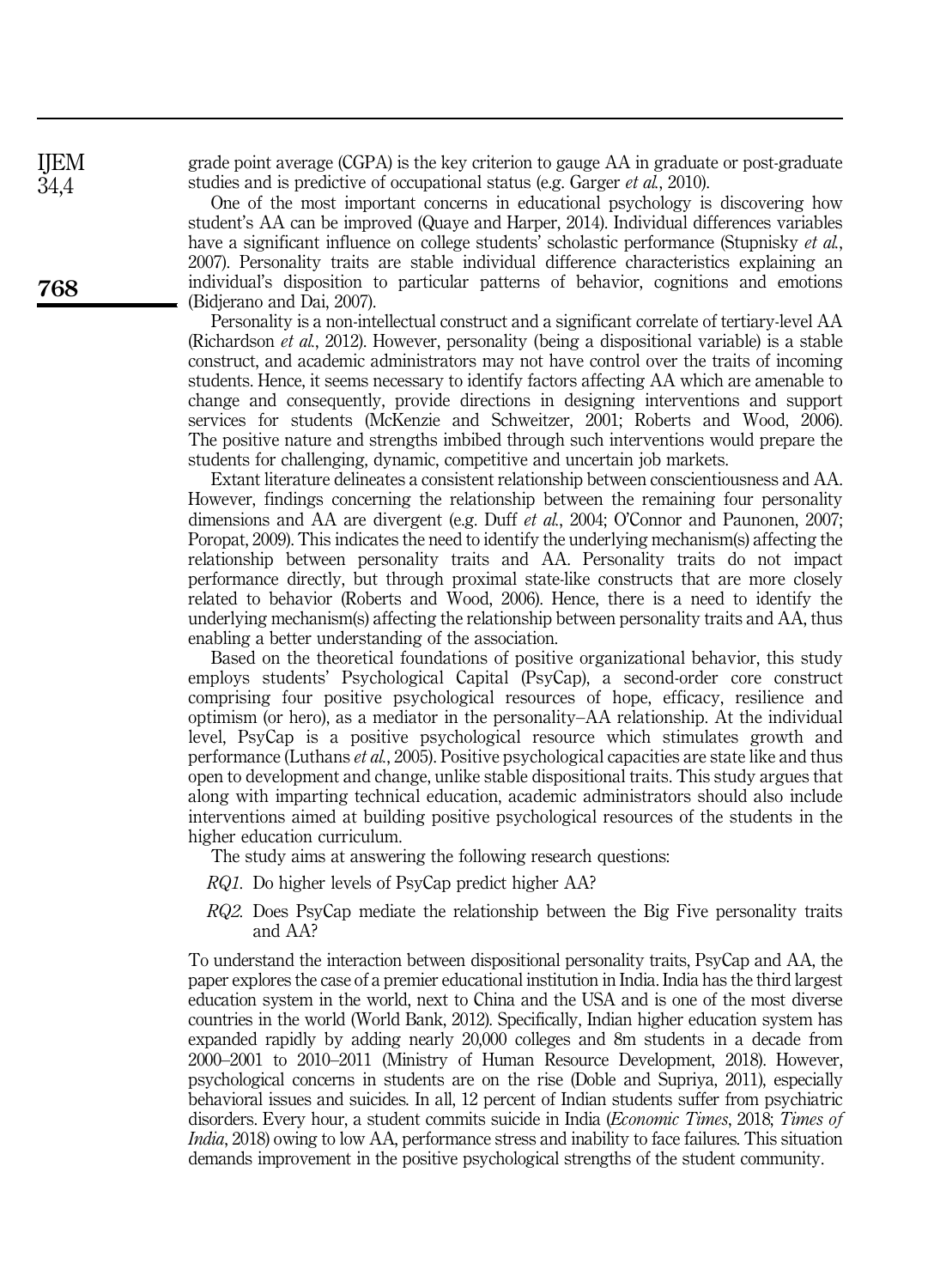grade point average (CGPA) is the key criterion to gauge AA in graduate or post-graduate studies and is predictive of occupational status (e.g. Garger *et al.*, 2010).

One of the most important concerns in educational psychology is discovering how student's AA can be improved (Quaye and Harper, 2014). Individual differences variables have a significant influence on college students' scholastic performance (Stupnisky *et al.*, 2007). Personality traits are stable individual difference characteristics explaining an individual's disposition to particular patterns of behavior, cognitions and emotions (Bidjerano and Dai, 2007).

Personality is a non-intellectual construct and a significant correlate of tertiary-level AA (Richardson *et al.*, 2012). However, personality (being a dispositional variable) is a stable construct, and academic administrators may not have control over the traits of incoming students. Hence, it seems necessary to identify factors affecting AA which are amenable to change and consequently, provide directions in designing interventions and support services for students (McKenzie and Schweitzer, 2001; Roberts and Wood, 2006). The positive nature and strengths imbibed through such interventions would prepare the students for challenging, dynamic, competitive and uncertain job markets.

Extant literature delineates a consistent relationship between conscientiousness and AA. However, findings concerning the relationship between the remaining four personality dimensions and AA are divergent (e.g. Duff *et al.*, 2004; O'Connor and Paunonen, 2007; Poropat, 2009). This indicates the need to identify the underlying mechanism(s) affecting the relationship between personality traits and AA. Personality traits do not impact performance directly, but through proximal state-like constructs that are more closely related to behavior (Roberts and Wood, 2006). Hence, there is a need to identify the underlying mechanism(s) affecting the relationship between personality traits and AA, thus enabling a better understanding of the association.

Based on the theoretical foundations of positive organizational behavior, this study employs students' Psychological Capital (PsyCap), a second-order core construct comprising four positive psychological resources of hope, efficacy, resilience and optimism (or hero), as a mediator in the personality–AA relationship. At the individual level, PsyCap is a positive psychological resource which stimulates growth and performance (Luthans *et al.*, 2005). Positive psychological capacities are state like and thus open to development and change, unlike stable dispositional traits. This study argues that along with imparting technical education, academic administrators should also include interventions aimed at building positive psychological resources of the students in the higher education curriculum.

The study aims at answering the following research questions:

- *RQ1.* Do higher levels of PsyCap predict higher AA?
- *RQ2.* Does PsyCap mediate the relationship between the Big Five personality traits and AA?

To understand the interaction between dispositional personality traits, PsyCap and AA, the paper explores the case of a premier educational institution in India. India has the third largest education system in the world, next to China and the USA and is one of the most diverse countries in the world (World Bank, 2012). Specifically, Indian higher education system has expanded rapidly by adding nearly 20,000 colleges and 8m students in a decade from 2000–2001 to 2010–2011 (Ministry of Human Resource Development, 2018). However, psychological concerns in students are on the rise (Doble and Supriya, 2011), especially behavioral issues and suicides. In all, 12 percent of Indian students suffer from psychiatric disorders. Every hour, a student commits suicide in India (*Economic Times*, 2018; *Times of India*, 2018) owing to low AA, performance stress and inability to face failures. This situation demands improvement in the positive psychological strengths of the student community.

768

IJEM 34,4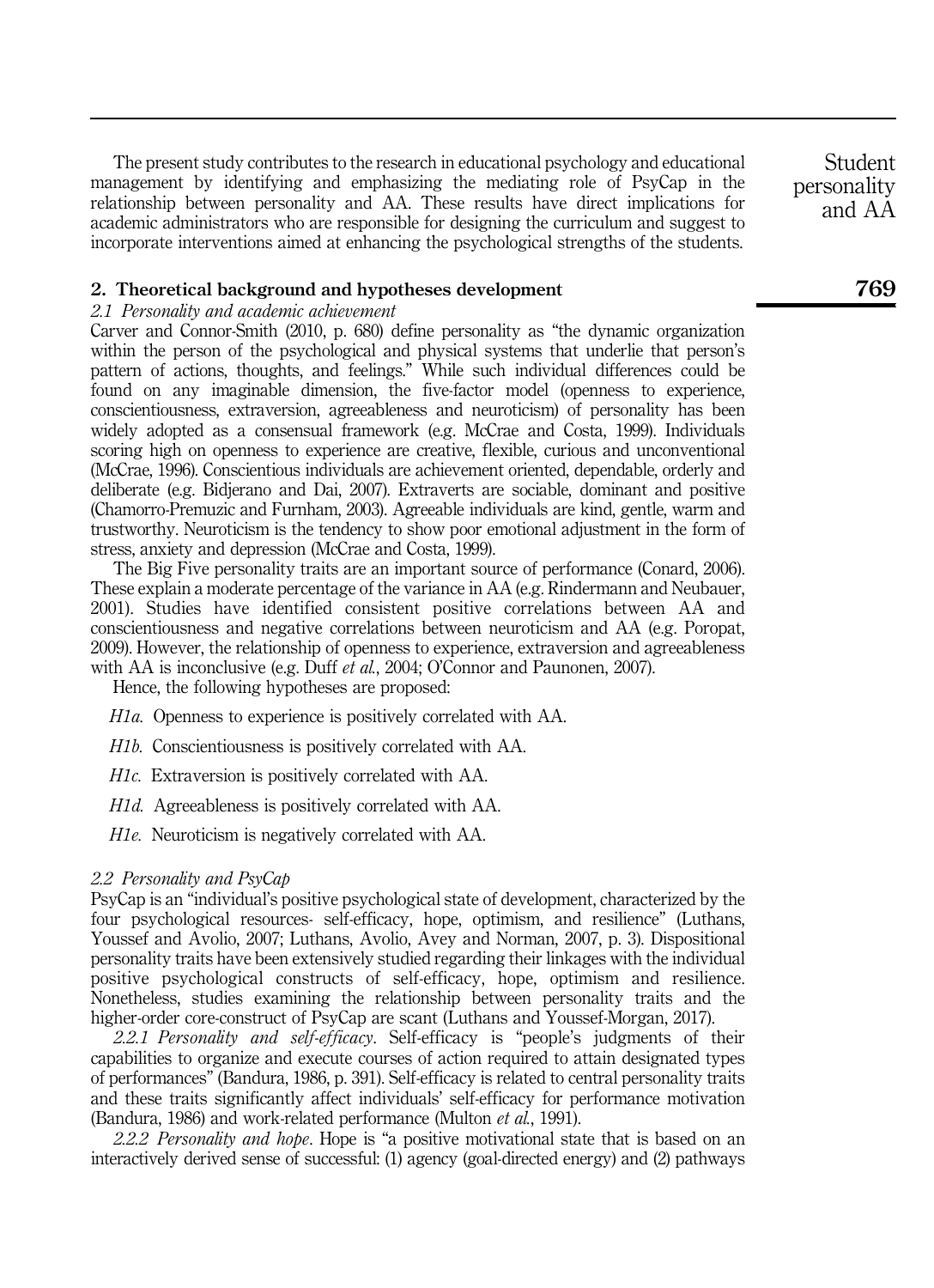The present study contributes to the research in educational psychology and educational management by identifying and emphasizing the mediating role of PsyCap in the relationship between personality and AA. These results have direct implications for academic administrators who are responsible for designing the curriculum and suggest to incorporate interventions aimed at enhancing the psychological strengths of the students.

# 2. Theoretical background and hypotheses development

# *2.1 Personality and academic achievement*

Carver and Connor-Smith (2010, p. 680) define personality as "the dynamic organization within the person of the psychological and physical systems that underlie that person's pattern of actions, thoughts, and feelings." While such individual differences could be found on any imaginable dimension, the five-factor model (openness to experience, conscientiousness, extraversion, agreeableness and neuroticism) of personality has been widely adopted as a consensual framework (e.g. McCrae and Costa, 1999). Individuals scoring high on openness to experience are creative, flexible, curious and unconventional (McCrae, 1996). Conscientious individuals are achievement oriented, dependable, orderly and deliberate (e.g. Bidjerano and Dai, 2007). Extraverts are sociable, dominant and positive (Chamorro-Premuzic and Furnham, 2003). Agreeable individuals are kind, gentle, warm and trustworthy. Neuroticism is the tendency to show poor emotional adjustment in the form of stress, anxiety and depression (McCrae and Costa, 1999).

The Big Five personality traits are an important source of performance (Conard, 2006). These explain a moderate percentage of the variance in AA (e.g. Rindermann and Neubauer, 2001). Studies have identified consistent positive correlations between AA and conscientiousness and negative correlations between neuroticism and AA (e.g. Poropat, 2009). However, the relationship of openness to experience, extraversion and agreeableness with AA is inconclusive (e.g. Duff *et al.*, 2004; O'Connor and Paunonen, 2007).

Hence, the following hypotheses are proposed:

*H1a.* Openness to experience is positively correlated with AA.

*H1b.* Conscientiousness is positively correlated with AA.

*H1c.* Extraversion is positively correlated with AA.

*H1d.* Agreeableness is positively correlated with AA.

*H1e.* Neuroticism is negatively correlated with AA.

#### *2.2 Personality and PsyCap*

PsyCap is an "individual's positive psychological state of development, characterized by the four psychological resources- self-efficacy, hope, optimism, and resilience" (Luthans, Youssef and Avolio, 2007; Luthans, Avolio, Avey and Norman, 2007, p. 3). Dispositional personality traits have been extensively studied regarding their linkages with the individual positive psychological constructs of self-efficacy, hope, optimism and resilience. Nonetheless, studies examining the relationship between personality traits and the higher-order core-construct of PsyCap are scant (Luthans and Youssef-Morgan, 2017).

*2.2.1 Personality and self-efficacy*. Self-efficacy is "people's judgments of their capabilities to organize and execute courses of action required to attain designated types of performances" (Bandura, 1986, p. 391). Self-efficacy is related to central personality traits and these traits significantly affect individuals' self-efficacy for performance motivation (Bandura, 1986) and work-related performance (Multon *et al.*, 1991).

*2.2.2 Personality and hope*. Hope is "a positive motivational state that is based on an interactively derived sense of successful: (1) agency (goal-directed energy) and (2) pathways

Student personality and AA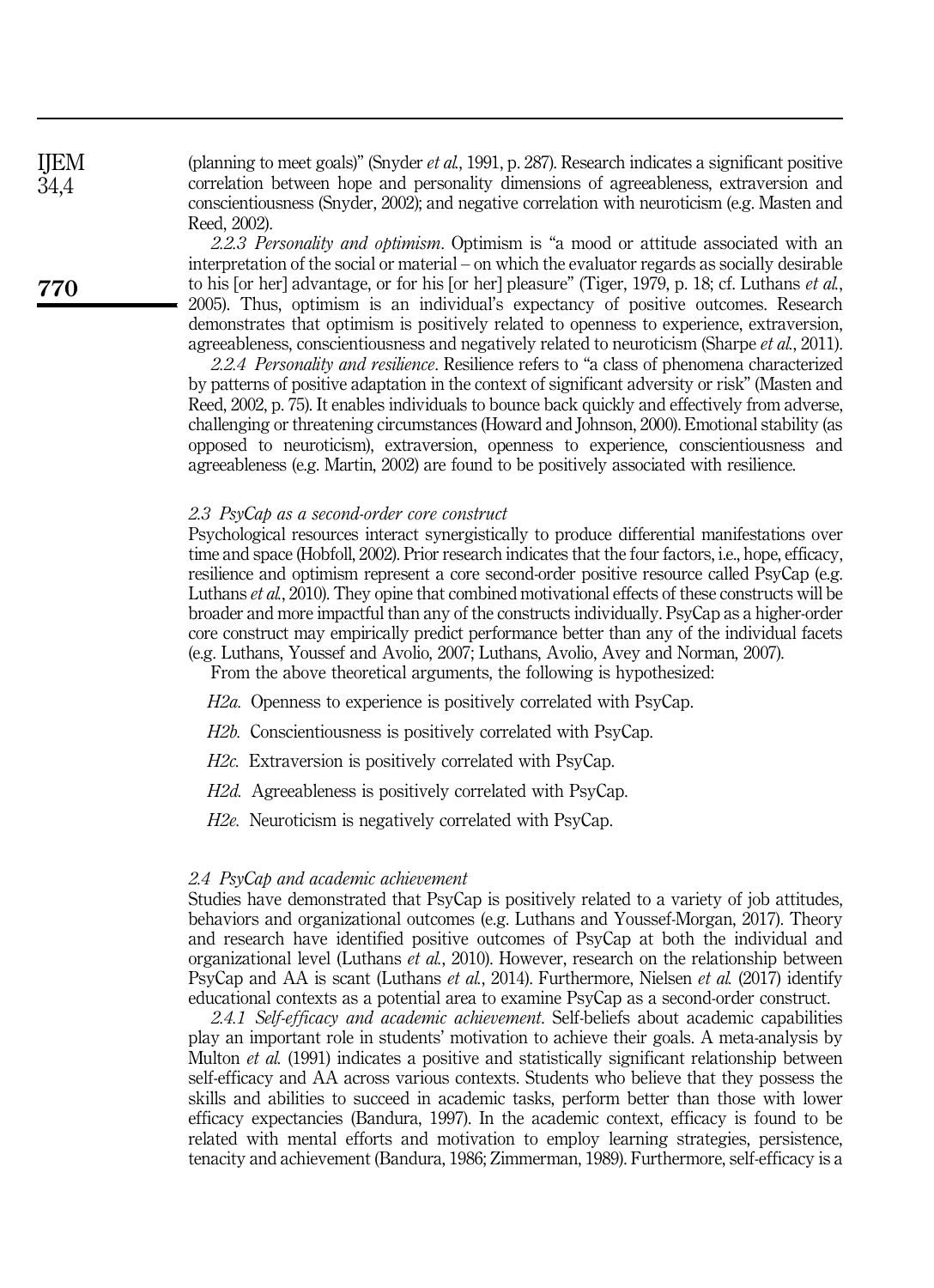(planning to meet goals)" (Snyder *et al.*, 1991, p. 287). Research indicates a significant positive correlation between hope and personality dimensions of agreeableness, extraversion and conscientiousness (Snyder, 2002); and negative correlation with neuroticism (e.g. Masten and Reed, 2002).

*2.2.3 Personality and optimism*. Optimism is "a mood or attitude associated with an interpretation of the social or material – on which the evaluator regards as socially desirable to his [or her] advantage, or for his [or her] pleasure" (Tiger, 1979, p. 18; cf. Luthans *et al.*, 2005). Thus, optimism is an individual's expectancy of positive outcomes. Research demonstrates that optimism is positively related to openness to experience, extraversion, agreeableness, conscientiousness and negatively related to neuroticism (Sharpe *et al.*, 2011).

*2.2.4 Personality and resilience*. Resilience refers to "a class of phenomena characterized by patterns of positive adaptation in the context of significant adversity or risk" (Masten and Reed, 2002, p. 75). It enables individuals to bounce back quickly and effectively from adverse, challenging or threatening circumstances (Howard and Johnson, 2000). Emotional stability (as opposed to neuroticism), extraversion, openness to experience, conscientiousness and agreeableness (e.g. Martin, 2002) are found to be positively associated with resilience.

#### *2.3 PsyCap as a second-order core construct*

Psychological resources interact synergistically to produce differential manifestations over time and space (Hobfoll, 2002). Prior research indicates that the four factors, i.e., hope, efficacy, resilience and optimism represent a core second-order positive resource called PsyCap (e.g. Luthans *et al.*, 2010). They opine that combined motivational effects of these constructs will be broader and more impactful than any of the constructs individually. PsyCap as a higher-order core construct may empirically predict performance better than any of the individual facets (e.g. Luthans, Youssef and Avolio, 2007; Luthans, Avolio, Avey and Norman, 2007).

From the above theoretical arguments, the following is hypothesized:

*H2a.* Openness to experience is positively correlated with PsyCap.

*H2b.* Conscientiousness is positively correlated with PsyCap.

*H2c.* Extraversion is positively correlated with PsyCap.

*H2d.* Agreeableness is positively correlated with PsyCap.

*H2e.* Neuroticism is negatively correlated with PsyCap.

#### *2.4 PsyCap and academic achievement*

Studies have demonstrated that PsyCap is positively related to a variety of job attitudes, behaviors and organizational outcomes (e.g. Luthans and Youssef-Morgan, 2017). Theory and research have identified positive outcomes of PsyCap at both the individual and organizational level (Luthans *et al.*, 2010). However, research on the relationship between PsyCap and AA is scant (Luthans *et al.*, 2014). Furthermore, Nielsen *et al.* (2017) identify educational contexts as a potential area to examine PsyCap as a second-order construct.

*2.4.1 Self-efficacy and academic achievement*. Self-beliefs about academic capabilities play an important role in students' motivation to achieve their goals. A meta-analysis by Multon *et al.* (1991) indicates a positive and statistically significant relationship between self-efficacy and AA across various contexts. Students who believe that they possess the skills and abilities to succeed in academic tasks, perform better than those with lower efficacy expectancies (Bandura, 1997). In the academic context, efficacy is found to be related with mental efforts and motivation to employ learning strategies, persistence, tenacity and achievement (Bandura, 1986; Zimmerman, 1989). Furthermore, self-efficacy is a

IJEM 34,4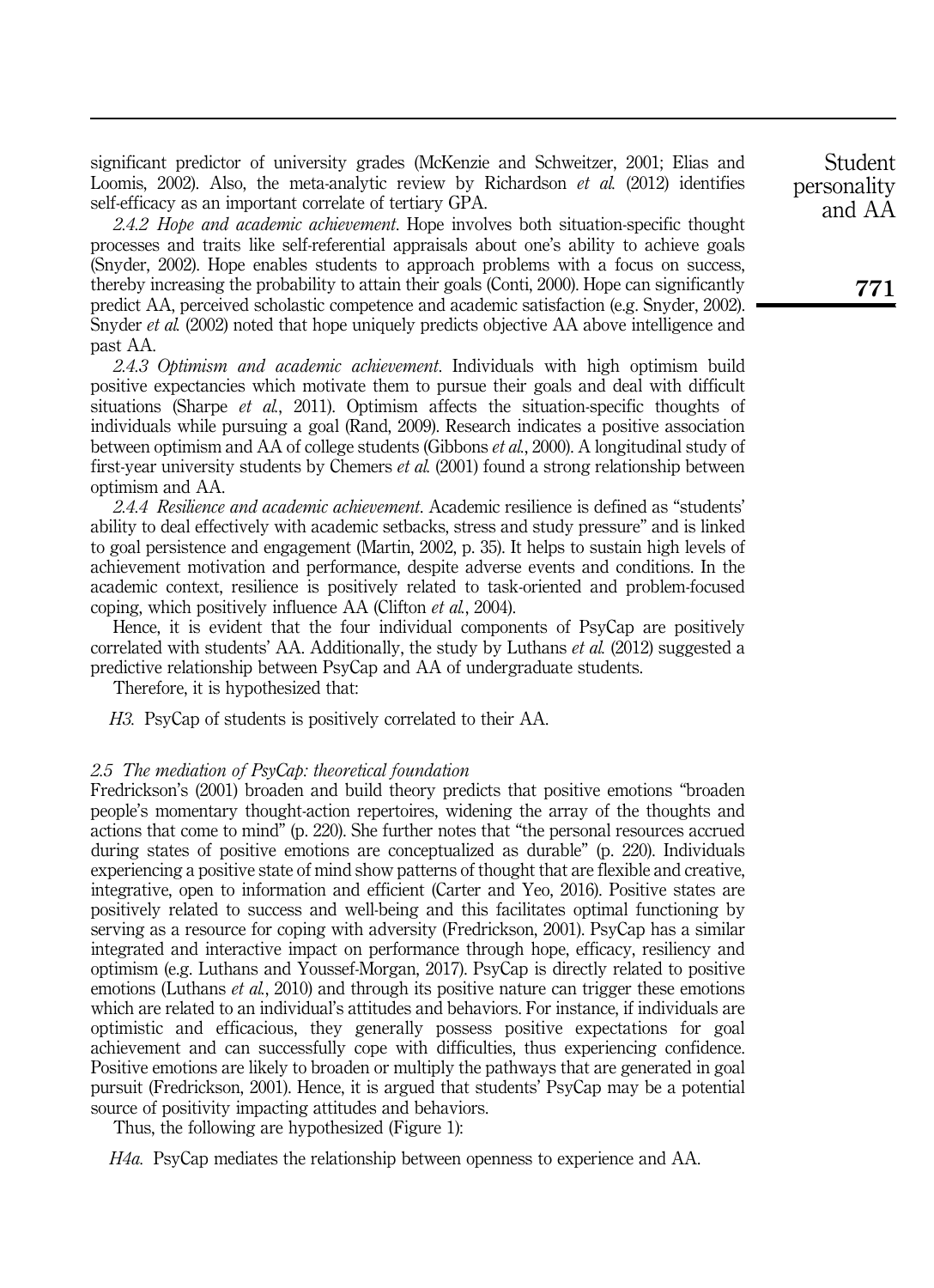significant predictor of university grades (McKenzie and Schweitzer, 2001; Elias and Loomis, 2002). Also, the meta-analytic review by Richardson *et al.* (2012) identifies self-efficacy as an important correlate of tertiary GPA.

*2.4.2 Hope and academic achievement*. Hope involves both situation-specific thought processes and traits like self-referential appraisals about one's ability to achieve goals (Snyder, 2002). Hope enables students to approach problems with a focus on success, thereby increasing the probability to attain their goals (Conti, 2000). Hope can significantly predict AA, perceived scholastic competence and academic satisfaction (e.g. Snyder, 2002). Snyder *et al.* (2002) noted that hope uniquely predicts objective AA above intelligence and past AA.

*2.4.3 Optimism and academic achievement*. Individuals with high optimism build positive expectancies which motivate them to pursue their goals and deal with difficult situations (Sharpe *et al.*, 2011). Optimism affects the situation-specific thoughts of individuals while pursuing a goal (Rand, 2009). Research indicates a positive association between optimism and AA of college students (Gibbons *et al.*, 2000). A longitudinal study of first-year university students by Chemers *et al.* (2001) found a strong relationship between optimism and AA.

*2.4.4 Resilience and academic achievement*. Academic resilience is defined as "students' ability to deal effectively with academic setbacks, stress and study pressure" and is linked to goal persistence and engagement (Martin, 2002, p. 35). It helps to sustain high levels of achievement motivation and performance, despite adverse events and conditions. In the academic context, resilience is positively related to task-oriented and problem-focused coping, which positively influence AA (Clifton *et al.*, 2004).

Hence, it is evident that the four individual components of PsyCap are positively correlated with students' AA. Additionally, the study by Luthans *et al.* (2012) suggested a predictive relationship between PsyCap and AA of undergraduate students.

Therefore, it is hypothesized that:

*H3.* PsyCap of students is positively correlated to their AA.

# *2.5 The mediation of PsyCap: theoretical foundation*

Fredrickson's (2001) broaden and build theory predicts that positive emotions "broaden people's momentary thought-action repertoires, widening the array of the thoughts and actions that come to mind" (p. 220). She further notes that "the personal resources accrued during states of positive emotions are conceptualized as durable" (p. 220). Individuals experiencing a positive state of mind show patterns of thought that are flexible and creative, integrative, open to information and efficient (Carter and Yeo, 2016). Positive states are positively related to success and well-being and this facilitates optimal functioning by serving as a resource for coping with adversity (Fredrickson, 2001). PsyCap has a similar integrated and interactive impact on performance through hope, efficacy, resiliency and optimism (e.g. Luthans and Youssef-Morgan, 2017). PsyCap is directly related to positive emotions (Luthans *et al.*, 2010) and through its positive nature can trigger these emotions which are related to an individual's attitudes and behaviors. For instance, if individuals are optimistic and efficacious, they generally possess positive expectations for goal achievement and can successfully cope with difficulties, thus experiencing confidence. Positive emotions are likely to broaden or multiply the pathways that are generated in goal pursuit (Fredrickson, 2001). Hence, it is argued that students' PsyCap may be a potential source of positivity impacting attitudes and behaviors.

Thus, the following are hypothesized (Figure 1):

*H4a.* PsyCap mediates the relationship between openness to experience and AA.

Student personality and AA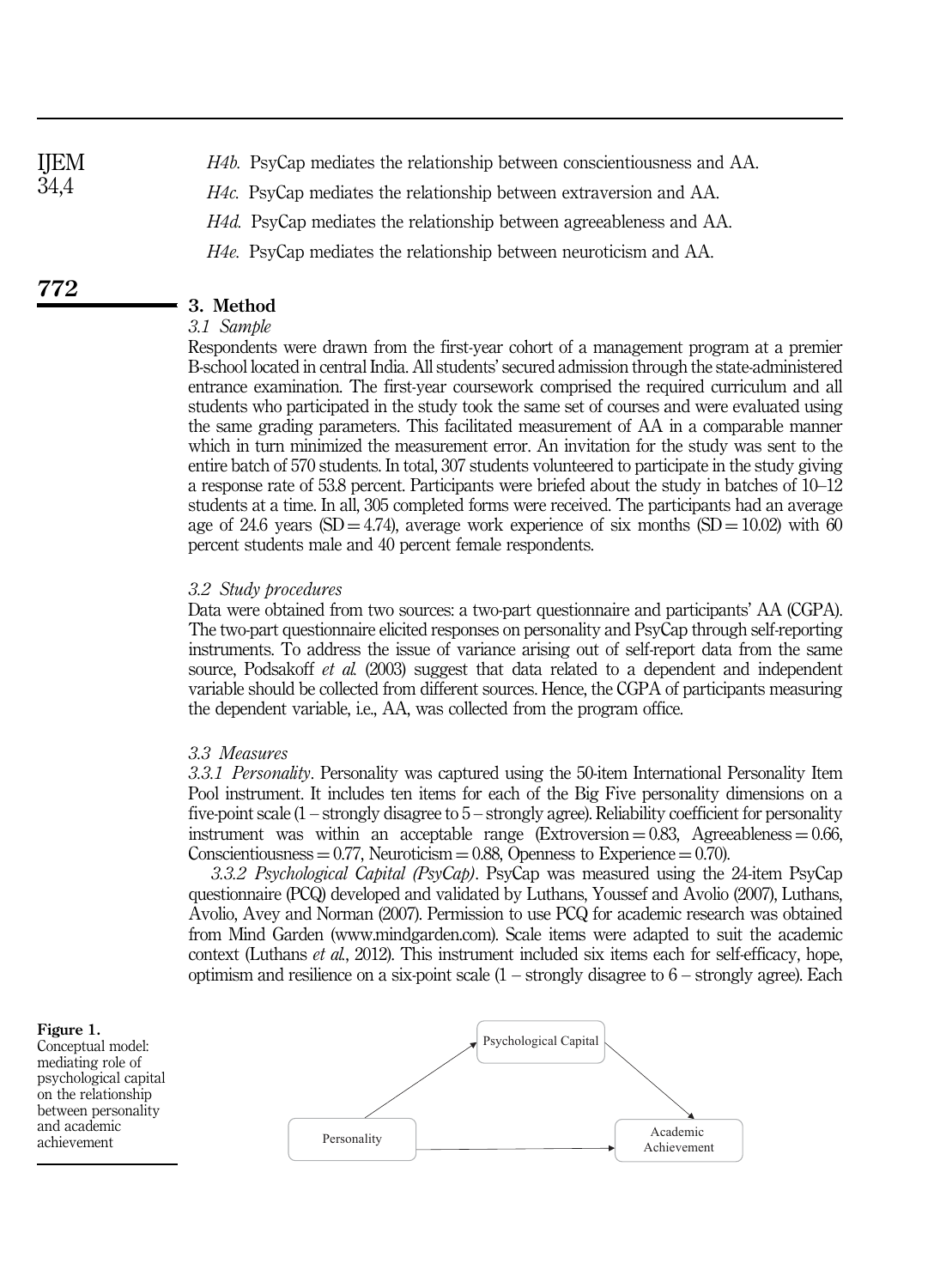*H4b.* PsyCap mediates the relationship between conscientiousness and AA. *H4c.* PsyCap mediates the relationship between extraversion and AA. *H4d.* PsyCap mediates the relationship between agreeableness and AA. *H4e.* PsyCap mediates the relationship between neuroticism and AA. IJEM 34,4

# 3. Method

772

# *3.1 Sample*

Respondents were drawn from the first-year cohort of a management program at a premier B-school located in central India. All students' secured admission through the state-administered entrance examination. The first-year coursework comprised the required curriculum and all students who participated in the study took the same set of courses and were evaluated using the same grading parameters. This facilitated measurement of AA in a comparable manner which in turn minimized the measurement error. An invitation for the study was sent to the entire batch of 570 students. In total, 307 students volunteered to participate in the study giving a response rate of 53.8 percent. Participants were briefed about the study in batches of 10–12 students at a time. In all, 305 completed forms were received. The participants had an average age of 24.6 years (SD = 4.74), average work experience of six months (SD =  $10.02$ ) with 60 percent students male and 40 percent female respondents.

#### *3.2 Study procedures*

Data were obtained from two sources: a two-part questionnaire and participants' AA (CGPA). The two-part questionnaire elicited responses on personality and PsyCap through self-reporting instruments. To address the issue of variance arising out of self-report data from the same source, Podsakoff *et al.* (2003) suggest that data related to a dependent and independent variable should be collected from different sources. Hence, the CGPA of participants measuring the dependent variable, i.e., AA, was collected from the program office.

# *3.3 Measures*

*3.3.1 Personality*. Personality was captured using the 50-item International Personality Item Pool instrument. It includes ten items for each of the Big Five personality dimensions on a five-point scale (1 – strongly disagree to 5 – strongly agree). Reliability coefficient for personality instrument was within an acceptable range (Extroversion  $= 0.83$ , Agreeableness  $= 0.66$ , Conscientiousness  $= 0.77$ , Neuroticism  $= 0.88$ , Openness to Experience  $= 0.70$ .

*3.3.2 Psychological Capital (PsyCap)*. PsyCap was measured using the 24-item PsyCap questionnaire (PCQ) developed and validated by Luthans, Youssef and Avolio (2007), Luthans, Avolio, Avey and Norman (2007). Permission to use PCQ for academic research was obtained from Mind Garden (www.mindgarden.com). Scale items were adapted to suit the academic context (Luthans *et al.*, 2012). This instrument included six items each for self-efficacy, hope, optimism and resilience on a six-point scale  $(1 -$  strongly disagree to  $6 -$  strongly agree). Each

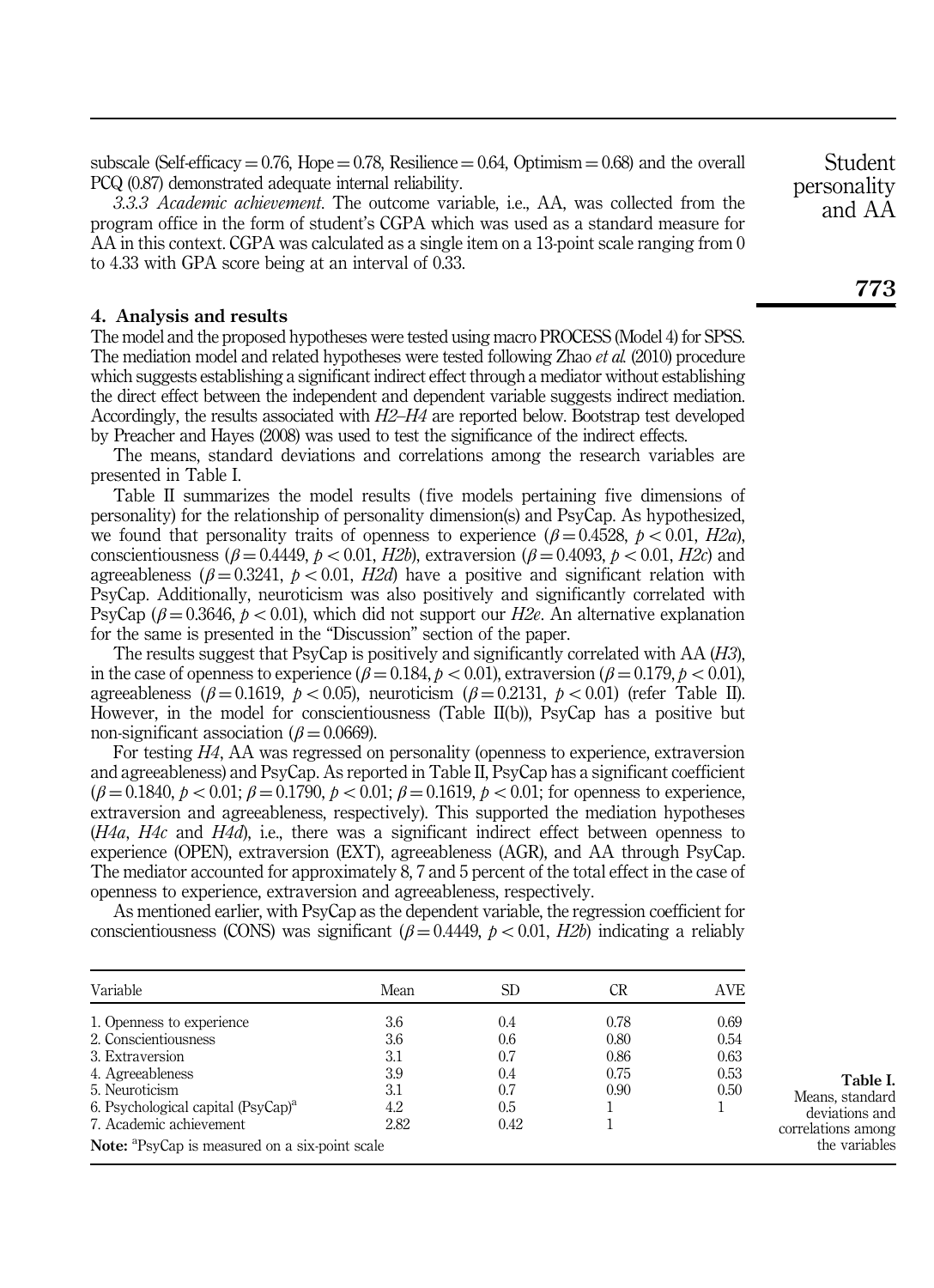subscale (Self-efficacy =  $0.76$ , Hope =  $0.78$ , Resilience =  $0.64$ , Optimism =  $0.68$ ) and the overall PCQ (0.87) demonstrated adequate internal reliability.

*3.3.3 Academic achievement*. The outcome variable, i.e., AA, was collected from the program office in the form of student's CGPA which was used as a standard measure for AA in this context. CGPA was calculated as a single item on a 13-point scale ranging from 0 to 4.33 with GPA score being at an interval of 0.33.

### 4. Analysis and results

The model and the proposed hypotheses were tested using macro PROCESS (Model 4) for SPSS. The mediation model and related hypotheses were tested following Zhao *et al.* (2010) procedure which suggests establishing a significant indirect effect through a mediator without establishing the direct effect between the independent and dependent variable suggests indirect mediation. Accordingly, the results associated with *H2*–*H4* are reported below. Bootstrap test developed by Preacher and Hayes (2008) was used to test the significance of the indirect effects.

The means, standard deviations and correlations among the research variables are presented in Table I.

Table II summarizes the model results ( five models pertaining five dimensions of personality) for the relationship of personality dimension(s) and PsyCap. As hypothesized, we found that personality traits of openness to experience  $(\beta = 0.4528, p < 0.01, H2a)$ , conscientiousness ( $\beta = 0.4449$ ,  $p < 0.01$ , *H2b*), extraversion ( $\beta = 0.4093$ ,  $p < 0.01$ , *H2c*) and agreeableness ( $\beta = 0.3241$ ,  $p < 0.01$ , *H2d*) have a positive and significant relation with PsyCap. Additionally, neuroticism was also positively and significantly correlated with PsyCap ( $\beta = 0.3646$ ,  $p < 0.01$ ), which did not support our *H2e*. An alternative explanation for the same is presented in the "Discussion" section of the paper.

The results suggest that PsyCap is positively and significantly correlated with AA (*H3*), in the case of openness to experience ( $\beta = 0.184$ ,  $p < 0.01$ ), extraversion ( $\beta = 0.179$ ,  $p < 0.01$ ), agreeableness ( $\beta = 0.1619$ ,  $p < 0.05$ ), neuroticism ( $\beta = 0.2131$ ,  $p < 0.01$ ) (refer Table II). However, in the model for conscientiousness (Table II(b)), PsyCap has a positive but non-significant association ( $\beta$  = 0.0669).

For testing *H4*, AA was regressed on personality (openness to experience, extraversion and agreeableness) and PsyCap. As reported in Table II, PsyCap has a significant coefficient  $(\beta = 0.1840, p < 0.01; \beta = 0.1790, p < 0.01; \beta = 0.1619, p < 0.01;$  for openness to experience, extraversion and agreeableness, respectively). This supported the mediation hypotheses (*H4a*, *H4c* and *H4d*), i.e., there was a significant indirect effect between openness to experience (OPEN), extraversion (EXT), agreeableness (AGR), and AA through PsyCap. The mediator accounted for approximately 8, 7 and 5 percent of the total effect in the case of openness to experience, extraversion and agreeableness, respectively.

As mentioned earlier, with PsyCap as the dependent variable, the regression coefficient for conscientiousness (CONS) was significant ( $\beta$  = 0.4449,  $p < 0.01$ , *H2b*) indicating a reliably

| Variable                                                          | Mean | SD.  | CR   | AVE  |
|-------------------------------------------------------------------|------|------|------|------|
| 1. Openness to experience                                         | 3.6  | 0.4  | 0.78 | 0.69 |
| 2. Conscientiousness                                              | 3.6  | 0.6  | 0.80 | 0.54 |
| 3. Extraversion                                                   | 3.1  | 0.7  | 0.86 | 0.63 |
| 4. Agreeableness                                                  | 3.9  | 0.4  | 0.75 | 0.53 |
| 5. Neuroticism                                                    | 3.1  | 0.7  | 0.90 | 0.50 |
| 6. Psychological capital $(PsvCap)^a$                             | 4.2  | 0.5  |      |      |
| 7. Academic achievement                                           | 2.82 | 0.42 |      |      |
| <b>Note:</b> <sup>a</sup> PsyCap is measured on a six-point scale |      |      |      |      |

Student personality and AA

Table I. Means, standard deviations and correlations among the variables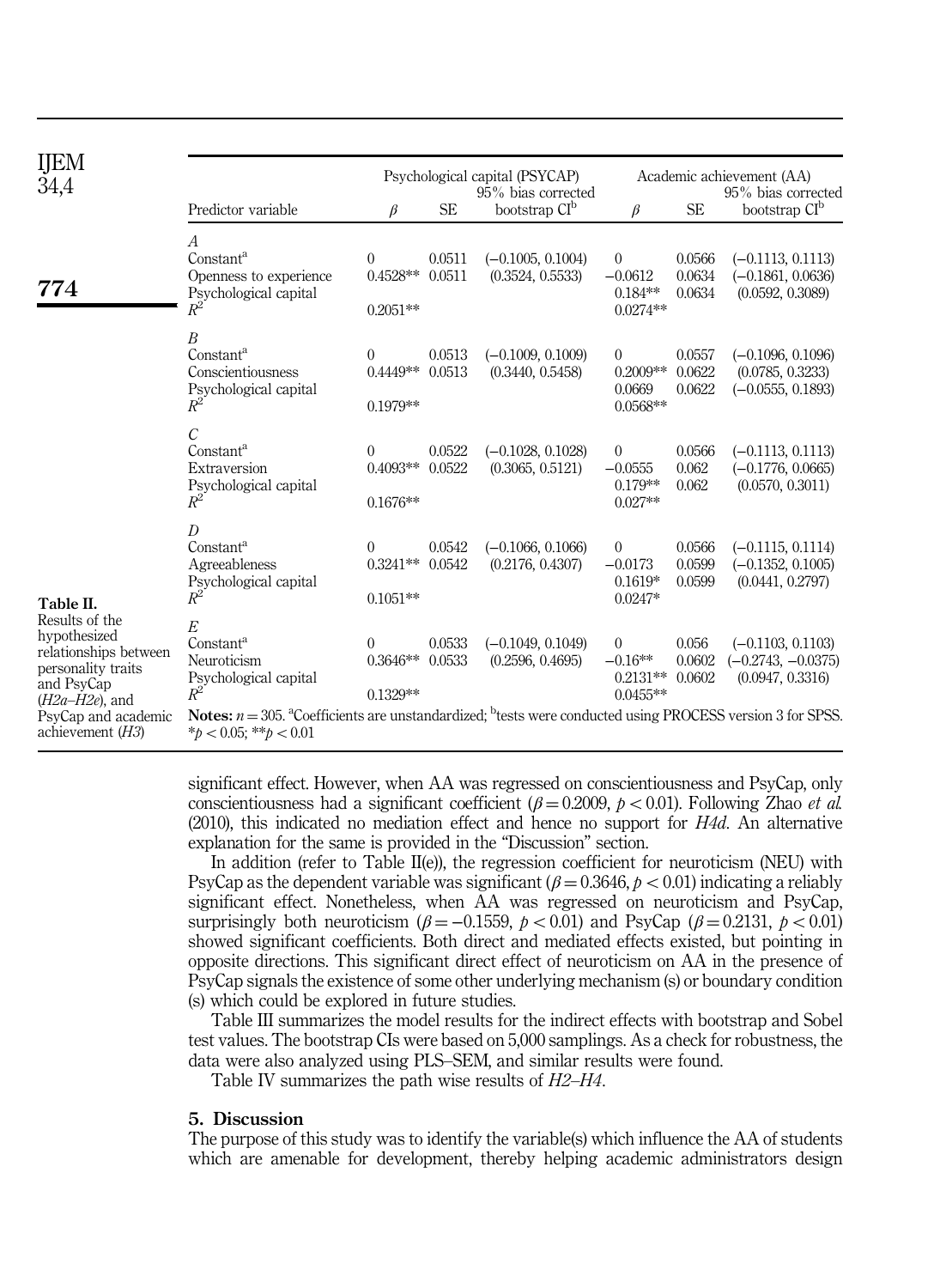| <b>IJEM</b><br>34,4                                                                                                           |                                                                                                                                                                             |                                            |                  | Psychological capital (PSYCAP)<br>95% bias corrected |                                                         |                            | Academic achievement (AA)<br>95% bias corrected                 |
|-------------------------------------------------------------------------------------------------------------------------------|-----------------------------------------------------------------------------------------------------------------------------------------------------------------------------|--------------------------------------------|------------------|------------------------------------------------------|---------------------------------------------------------|----------------------------|-----------------------------------------------------------------|
|                                                                                                                               | Predictor variable                                                                                                                                                          | β                                          | <b>SE</b>        | bootstrap CI <sup>b</sup>                            | $\beta$                                                 | <b>SE</b>                  | bootstrap CI <sup>b</sup>                                       |
| 774                                                                                                                           | А<br>Constant <sup>a</sup><br>Openness to experience<br>Psychological capital<br>$R^2$                                                                                      | $\overline{0}$<br>$0.4528**$<br>$0.2051**$ | 0.0511<br>0.0511 | $(-0.1005, 0.1004)$<br>(0.3524, 0.5533)              | $\overline{0}$<br>$-0.0612$<br>$0.184**$<br>$0.0274**$  | 0.0566<br>0.0634<br>0.0634 | $(-0.1113, 0.1113)$<br>$(-0.1861, 0.0636)$<br>(0.0592, 0.3089)  |
|                                                                                                                               | $\boldsymbol{B}$<br>Constant <sup>a</sup><br>Conscientiousness<br>Psychological capital<br>$R^2$                                                                            | $\overline{0}$<br>$0.4449**$<br>$0.1979**$ | 0.0513<br>0.0513 | $(-0.1009, 0.1009)$<br>(0.3440, 0.5458)              | $\overline{0}$<br>$0.2009**$<br>0.0669<br>$0.0568**$    | 0.0557<br>0.0622<br>0.0622 | $(-0.1096, 0.1096)$<br>(0.0785, 0.3233)<br>$(-0.0555, 0.1893)$  |
|                                                                                                                               | $\overline{C}$<br>Constant <sup>a</sup><br>Extraversion<br>Psychological capital<br>$R^2$                                                                                   | $\overline{0}$<br>$0.4093**$<br>$0.1676**$ | 0.0522<br>0.0522 | $(-0.1028, 0.1028)$<br>(0.3065, 0.5121)              | $\overline{0}$<br>$-0.0555$<br>$0.179**$<br>$0.027**$   | 0.0566<br>0.062<br>0.062   | $(-0.1113, 0.1113)$<br>$(-0.1776, 0.0665)$<br>(0.0570, 0.3011)  |
| Table II.<br>Results of the<br>hypothesized<br>relationships between<br>personality traits<br>and PsyCap<br>$(H2a-H2e)$ , and | D<br>Constant <sup>a</sup><br>Agreeableness<br>Psychological capital<br>$R^2$                                                                                               | 0<br>$0.3241**$<br>$0.1051**$              | 0.0542<br>0.0542 | $(-0.1066, 0.1066)$<br>(0.2176, 0.4307)              | $\overline{0}$<br>$-0.0173$<br>$0.1619*$<br>$0.0247*$   | 0.0566<br>0.0599<br>0.0599 | $(-0.1115, 0.1114)$<br>$(-0.1352, 0.1005)$<br>(0.0441, 0.2797)  |
|                                                                                                                               | E<br>Constant <sup>a</sup><br>Neuroticism<br>Psychological capital<br>$R^2$                                                                                                 | $\overline{0}$<br>$0.3646**$<br>$0.1329**$ | 0.0533<br>0.0533 | $(-0.1049, 0.1049)$<br>(0.2596, 0.4695)              | $\overline{0}$<br>$-0.16**$<br>$0.2131**$<br>$0.0455**$ | 0.056<br>0.0602<br>0.0602  | $(-0.1103, 0.1103)$<br>$(-0.2743, -0.0375)$<br>(0.0947, 0.3316) |
| PsyCap and academic<br>achievement $(H3)$                                                                                     | <b>Notes:</b> $n = 305$ . <sup>a</sup> Coefficients are unstandardized; <sup>b</sup> tests were conducted using PROCESS version 3 for SPSS.<br>* $b < 0.05$ : ** $b < 0.01$ |                                            |                  |                                                      |                                                         |                            |                                                                 |

significant effect. However, when AA was regressed on conscientiousness and PsyCap, only conscientiousness had a significant coefficient ( $\beta = 0.2009$ ,  $p < 0.01$ ). Following Zhao *et al.* (2010), this indicated no mediation effect and hence no support for *H4d*. An alternative explanation for the same is provided in the "Discussion" section.

In addition (refer to Table II(e)), the regression coefficient for neuroticism (NEU) with PsyCap as the dependent variable was significant ( $\beta = 0.3646$ ,  $p < 0.01$ ) indicating a reliably significant effect. Nonetheless, when AA was regressed on neuroticism and PsyCap, surprisingly both neuroticism  $(\beta = -0.1559, p < 0.01)$  and PsyCap  $(\beta = 0.2131, p < 0.01)$ showed significant coefficients. Both direct and mediated effects existed, but pointing in opposite directions. This significant direct effect of neuroticism on AA in the presence of PsyCap signals the existence of some other underlying mechanism (s) or boundary condition (s) which could be explored in future studies.

Table III summarizes the model results for the indirect effects with bootstrap and Sobel test values. The bootstrap CIs were based on 5,000 samplings. As a check for robustness, the data were also analyzed using PLS–SEM, and similar results were found.

Table IV summarizes the path wise results of *H2*–*H4*.

#### 5. Discussion

The purpose of this study was to identify the variable(s) which influence the AA of students which are amenable for development, thereby helping academic administrators design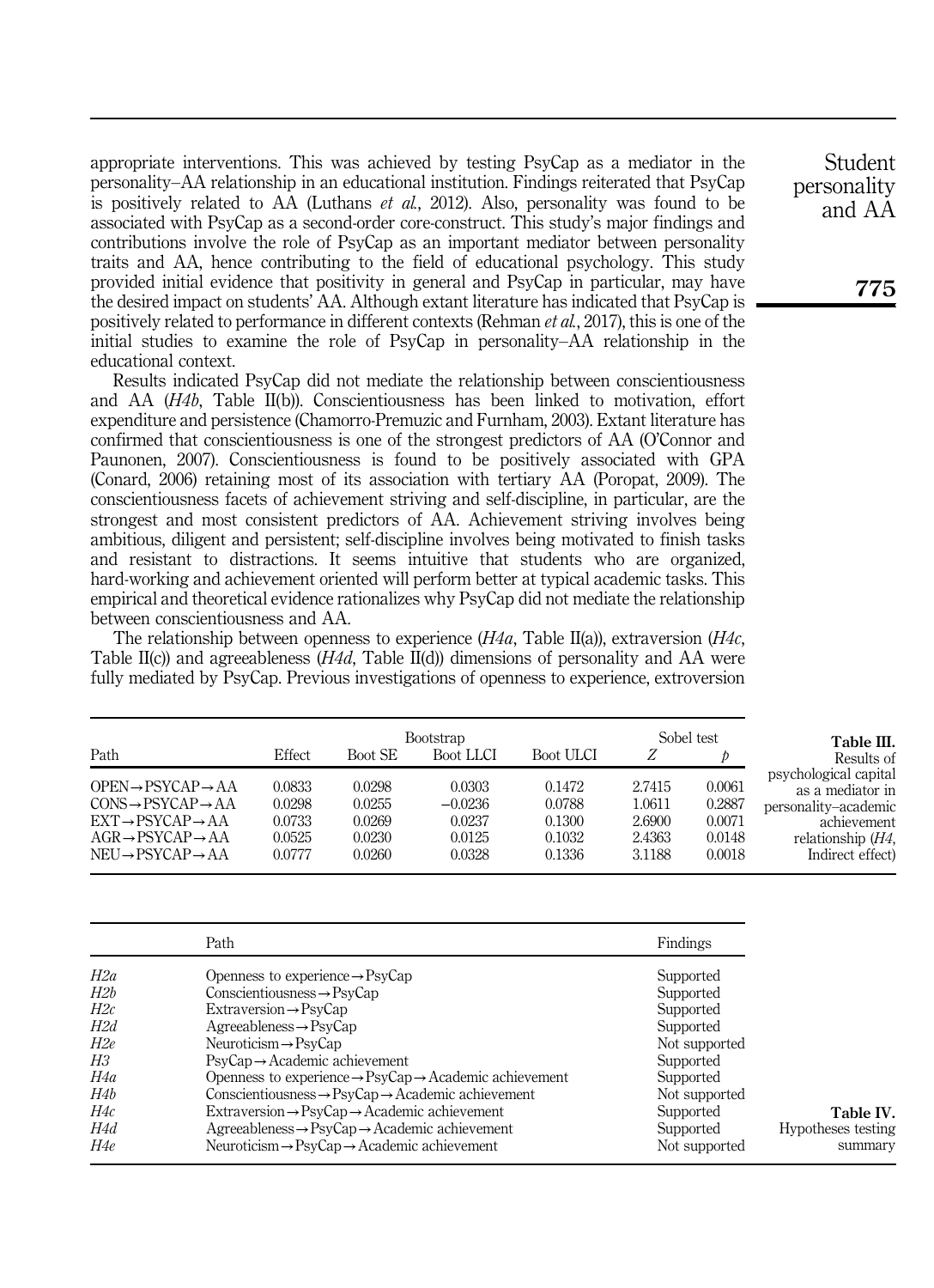appropriate interventions. This was achieved by testing PsyCap as a mediator in the personality–AA relationship in an educational institution. Findings reiterated that PsyCap is positively related to AA (Luthans *et al.*, 2012). Also, personality was found to be associated with PsyCap as a second-order core-construct. This study's major findings and contributions involve the role of PsyCap as an important mediator between personality traits and AA, hence contributing to the field of educational psychology. This study provided initial evidence that positivity in general and PsyCap in particular, may have the desired impact on students' AA. Although extant literature has indicated that PsyCap is positively related to performance in different contexts (Rehman *et al.*, 2017), this is one of the initial studies to examine the role of PsyCap in personality–AA relationship in the educational context.

Results indicated PsyCap did not mediate the relationship between conscientiousness and AA (*H4b*, Table II(b)). Conscientiousness has been linked to motivation, effort expenditure and persistence (Chamorro-Premuzic and Furnham, 2003). Extant literature has confirmed that conscientiousness is one of the strongest predictors of AA (O'Connor and Paunonen, 2007). Conscientiousness is found to be positively associated with GPA (Conard, 2006) retaining most of its association with tertiary AA (Poropat, 2009). The conscientiousness facets of achievement striving and self-discipline, in particular, are the strongest and most consistent predictors of AA. Achievement striving involves being ambitious, diligent and persistent; self-discipline involves being motivated to finish tasks and resistant to distractions. It seems intuitive that students who are organized, hard-working and achievement oriented will perform better at typical academic tasks. This empirical and theoretical evidence rationalizes why PsyCap did not mediate the relationship between conscientiousness and AA.

The relationship between openness to experience (*H4a*, Table II(a)), extraversion (*H4c*, Table II(c)) and agreeableness (*H4d*, Table II(d)) dimensions of personality and AA were fully mediated by PsyCap. Previous investigations of openness to experience, extroversion

| Path                                                                                                                                                                                                                  | Effect                                         | Boot SE                                        | <b>Bootstrap</b><br>Boot LLCI                     | Boot ULCI                                      |                                                | Sobel test                                     | Table III.<br>Results of                                                                                                    |
|-----------------------------------------------------------------------------------------------------------------------------------------------------------------------------------------------------------------------|------------------------------------------------|------------------------------------------------|---------------------------------------------------|------------------------------------------------|------------------------------------------------|------------------------------------------------|-----------------------------------------------------------------------------------------------------------------------------|
| $OPEN \rightarrow PSYCAP \rightarrow AA$<br>$CONS \rightarrow PSYCAP \rightarrow AA$<br>$EXT \rightarrow PSYCAP \rightarrow AA$<br>$AGR \rightarrow PSYCAP \rightarrow AA$<br>$NEU \rightarrow PSYCAP \rightarrow AA$ | 0.0833<br>0.0298<br>0.0733<br>0.0525<br>0.0777 | 0.0298<br>0.0255<br>0.0269<br>0.0230<br>0.0260 | 0.0303<br>$-0.0236$<br>0.0237<br>0.0125<br>0.0328 | 0.1472<br>0.0788<br>0.1300<br>0.1032<br>0.1336 | 2.7415<br>1.0611<br>2.6900<br>2.4363<br>3.1188 | 0.0061<br>0.2887<br>0.0071<br>0.0148<br>0.0018 | psychological capital<br>as a mediator in<br>personality-academic<br>achievement<br>relationship $(H4)$<br>Indirect effect) |

|     | Path                                                                           | Findings      |                    |
|-----|--------------------------------------------------------------------------------|---------------|--------------------|
| H2a | Openness to experience $\rightarrow$ PsyCap                                    | Supported     |                    |
| H2b | $Conscientiousness \rightarrow \text{PsvCap}$                                  | Supported     |                    |
| H2c | $Extraversion \rightarrow PsvCap$                                              | Supported     |                    |
| H2d | $Agreeableness \rightarrow PsvCap$                                             | Supported     |                    |
| H2e | $Neuroticism \rightarrow PsvCap$                                               | Not supported |                    |
| ΗЗ  | $PsvCap \rightarrow Academic$ achievement                                      | Supported     |                    |
| H4a | Openness to experience $\rightarrow$ PsyCap $\rightarrow$ Academic achievement | Supported     |                    |
| H4b | $Conscientiousness \rightarrow \text{PsvCap} \rightarrow Academic achievement$ | Not supported |                    |
| H4c | $Extraversion \rightarrow PsvCap \rightarrow Academic achievement$             | Supported     | Table IV.          |
| H4d | $Agreeableness \rightarrow PyCap \rightarrow Academic$ achievement             | Supported     | Hypotheses testing |
| H4e | Neuroticism $\rightarrow$ PsyCap $\rightarrow$ Academic achievement            | Not supported | summary            |

Student personality and AA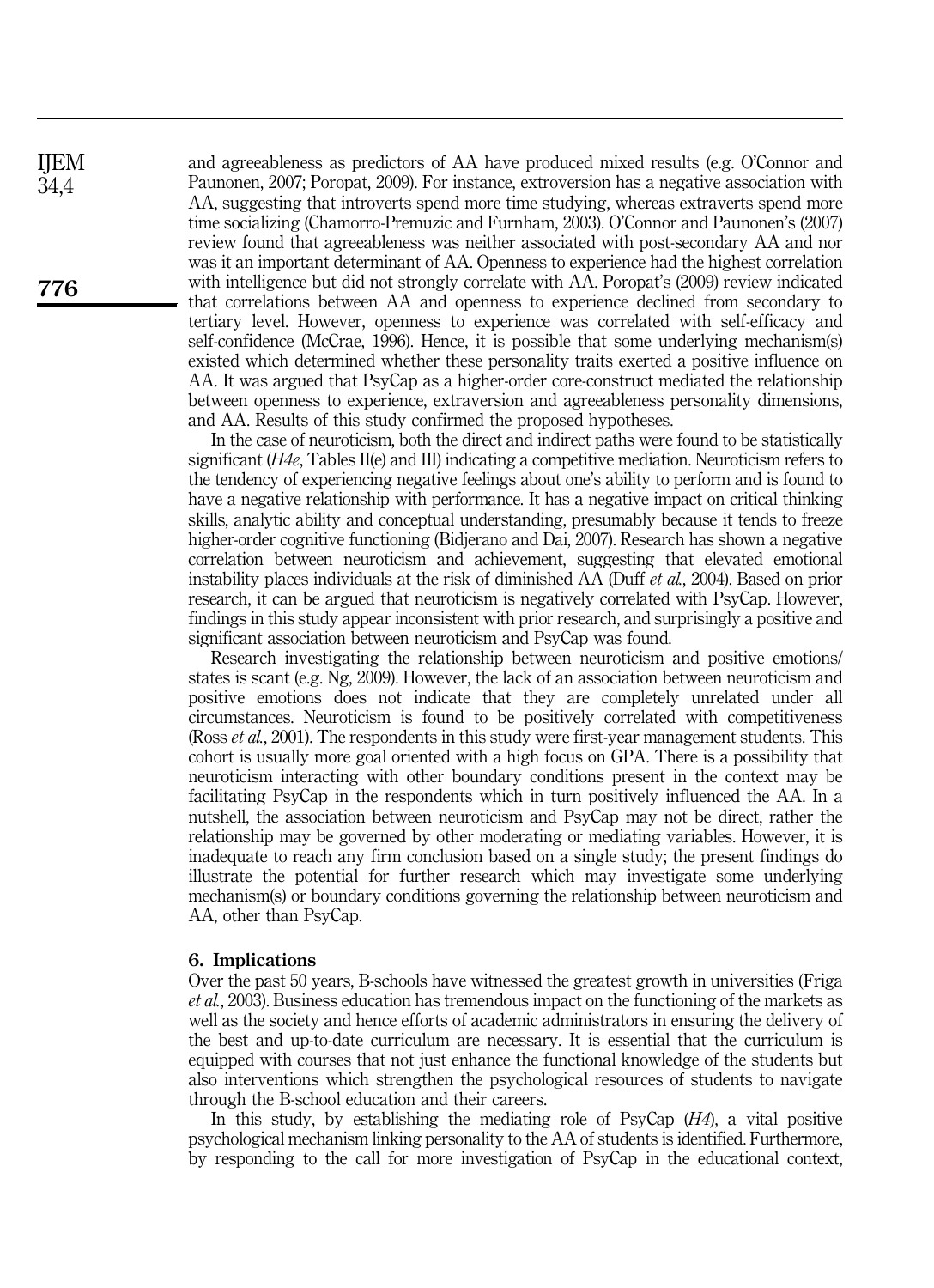and agreeableness as predictors of AA have produced mixed results (e.g. O'Connor and Paunonen, 2007; Poropat, 2009). For instance, extroversion has a negative association with AA, suggesting that introverts spend more time studying, whereas extraverts spend more time socializing (Chamorro-Premuzic and Furnham, 2003). O'Connor and Paunonen's (2007) review found that agreeableness was neither associated with post-secondary AA and nor was it an important determinant of AA. Openness to experience had the highest correlation with intelligence but did not strongly correlate with AA. Poropat's (2009) review indicated that correlations between AA and openness to experience declined from secondary to tertiary level. However, openness to experience was correlated with self-efficacy and self-confidence (McCrae, 1996). Hence, it is possible that some underlying mechanism(s) existed which determined whether these personality traits exerted a positive influence on AA. It was argued that PsyCap as a higher-order core-construct mediated the relationship between openness to experience, extraversion and agreeableness personality dimensions, and AA. Results of this study confirmed the proposed hypotheses.

In the case of neuroticism, both the direct and indirect paths were found to be statistically significant (*H4e*, Tables II(e) and III) indicating a competitive mediation. Neuroticism refers to the tendency of experiencing negative feelings about one's ability to perform and is found to have a negative relationship with performance. It has a negative impact on critical thinking skills, analytic ability and conceptual understanding, presumably because it tends to freeze higher-order cognitive functioning (Bidjerano and Dai, 2007). Research has shown a negative correlation between neuroticism and achievement, suggesting that elevated emotional instability places individuals at the risk of diminished AA (Duff *et al.*, 2004). Based on prior research, it can be argued that neuroticism is negatively correlated with PsyCap. However, findings in this study appear inconsistent with prior research, and surprisingly a positive and significant association between neuroticism and PsyCap was found.

Research investigating the relationship between neuroticism and positive emotions/ states is scant (e.g. Ng, 2009). However, the lack of an association between neuroticism and positive emotions does not indicate that they are completely unrelated under all circumstances. Neuroticism is found to be positively correlated with competitiveness (Ross *et al.*, 2001). The respondents in this study were first-year management students. This cohort is usually more goal oriented with a high focus on GPA. There is a possibility that neuroticism interacting with other boundary conditions present in the context may be facilitating PsyCap in the respondents which in turn positively influenced the AA. In a nutshell, the association between neuroticism and PsyCap may not be direct, rather the relationship may be governed by other moderating or mediating variables. However, it is inadequate to reach any firm conclusion based on a single study; the present findings do illustrate the potential for further research which may investigate some underlying mechanism(s) or boundary conditions governing the relationship between neuroticism and AA, other than PsyCap.

### 6. Implications

Over the past 50 years, B-schools have witnessed the greatest growth in universities (Friga *et al.*, 2003). Business education has tremendous impact on the functioning of the markets as well as the society and hence efforts of academic administrators in ensuring the delivery of the best and up-to-date curriculum are necessary. It is essential that the curriculum is equipped with courses that not just enhance the functional knowledge of the students but also interventions which strengthen the psychological resources of students to navigate through the B-school education and their careers.

In this study, by establishing the mediating role of PsyCap (*H4*), a vital positive psychological mechanism linking personality to the AA of students is identified. Furthermore, by responding to the call for more investigation of PsyCap in the educational context,

776

IJEM 34,4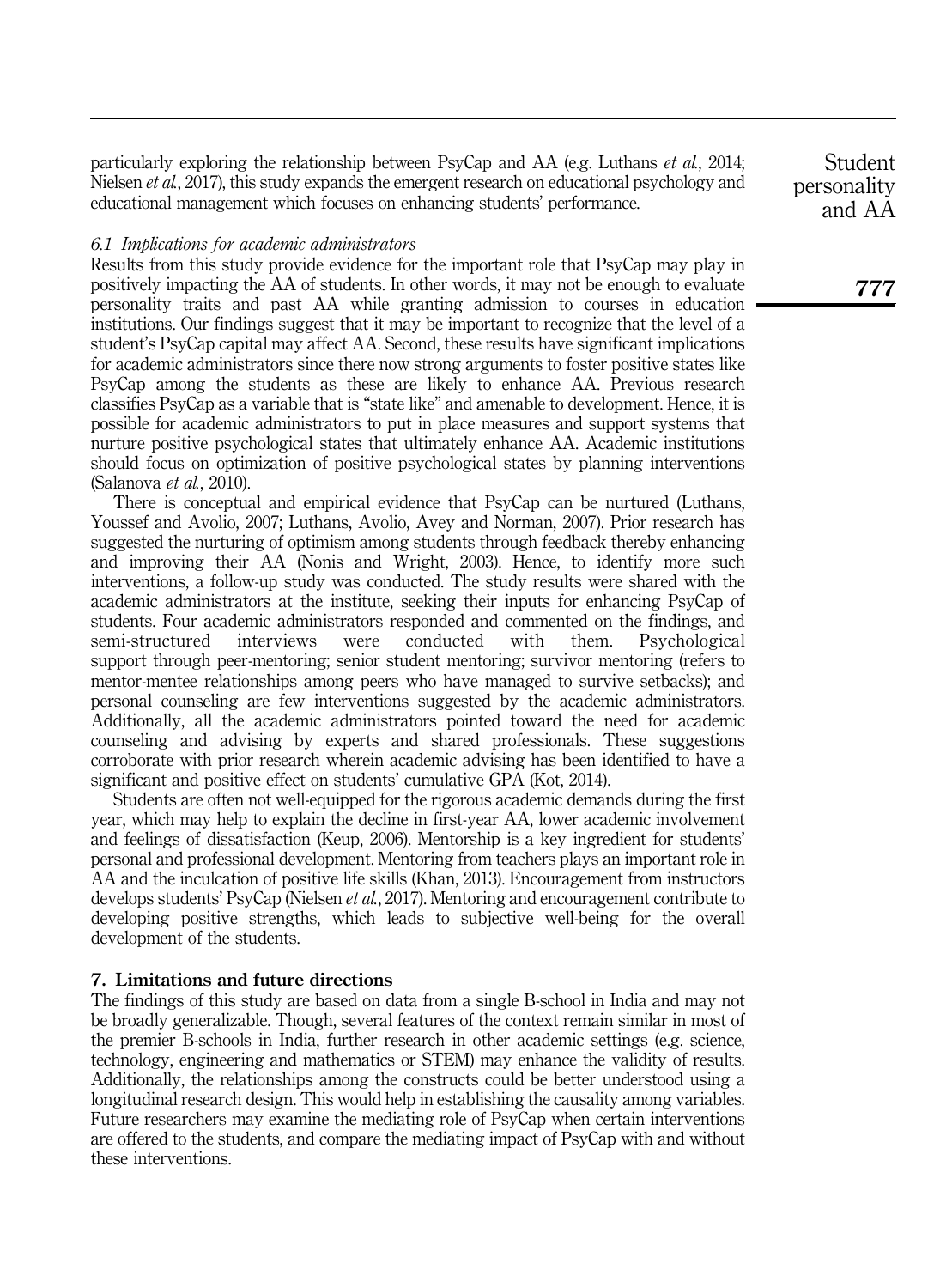particularly exploring the relationship between PsyCap and AA (e.g. Luthans *et al.*, 2014; Nielsen *et al.*, 2017), this study expands the emergent research on educational psychology and educational management which focuses on enhancing students' performance.

# *6.1 Implications for academic administrators*

Results from this study provide evidence for the important role that PsyCap may play in positively impacting the AA of students. In other words, it may not be enough to evaluate personality traits and past AA while granting admission to courses in education institutions. Our findings suggest that it may be important to recognize that the level of a student's PsyCap capital may affect AA. Second, these results have significant implications for academic administrators since there now strong arguments to foster positive states like PsyCap among the students as these are likely to enhance AA. Previous research classifies PsyCap as a variable that is "state like" and amenable to development. Hence, it is possible for academic administrators to put in place measures and support systems that nurture positive psychological states that ultimately enhance AA. Academic institutions should focus on optimization of positive psychological states by planning interventions (Salanova *et al.*, 2010).

There is conceptual and empirical evidence that PsyCap can be nurtured (Luthans, Youssef and Avolio, 2007; Luthans, Avolio, Avey and Norman, 2007). Prior research has suggested the nurturing of optimism among students through feedback thereby enhancing and improving their AA (Nonis and Wright, 2003). Hence, to identify more such interventions, a follow-up study was conducted. The study results were shared with the academic administrators at the institute, seeking their inputs for enhancing PsyCap of students. Four academic administrators responded and commented on the findings, and semi-structured interviews were conducted with them. Psychological support through peer-mentoring; senior student mentoring; survivor mentoring (refers to mentor-mentee relationships among peers who have managed to survive setbacks); and personal counseling are few interventions suggested by the academic administrators. Additionally, all the academic administrators pointed toward the need for academic counseling and advising by experts and shared professionals. These suggestions corroborate with prior research wherein academic advising has been identified to have a significant and positive effect on students' cumulative GPA (Kot, 2014).

Students are often not well-equipped for the rigorous academic demands during the first year, which may help to explain the decline in first-year AA, lower academic involvement and feelings of dissatisfaction (Keup, 2006). Mentorship is a key ingredient for students' personal and professional development. Mentoring from teachers plays an important role in AA and the inculcation of positive life skills (Khan, 2013). Encouragement from instructors develops students' PsyCap (Nielsen *et al.*, 2017). Mentoring and encouragement contribute to developing positive strengths, which leads to subjective well-being for the overall development of the students.

# 7. Limitations and future directions

The findings of this study are based on data from a single B-school in India and may not be broadly generalizable. Though, several features of the context remain similar in most of the premier B-schools in India, further research in other academic settings (e.g. science, technology, engineering and mathematics or STEM) may enhance the validity of results. Additionally, the relationships among the constructs could be better understood using a longitudinal research design. This would help in establishing the causality among variables. Future researchers may examine the mediating role of PsyCap when certain interventions are offered to the students, and compare the mediating impact of PsyCap with and without these interventions.

**Student** personality and AA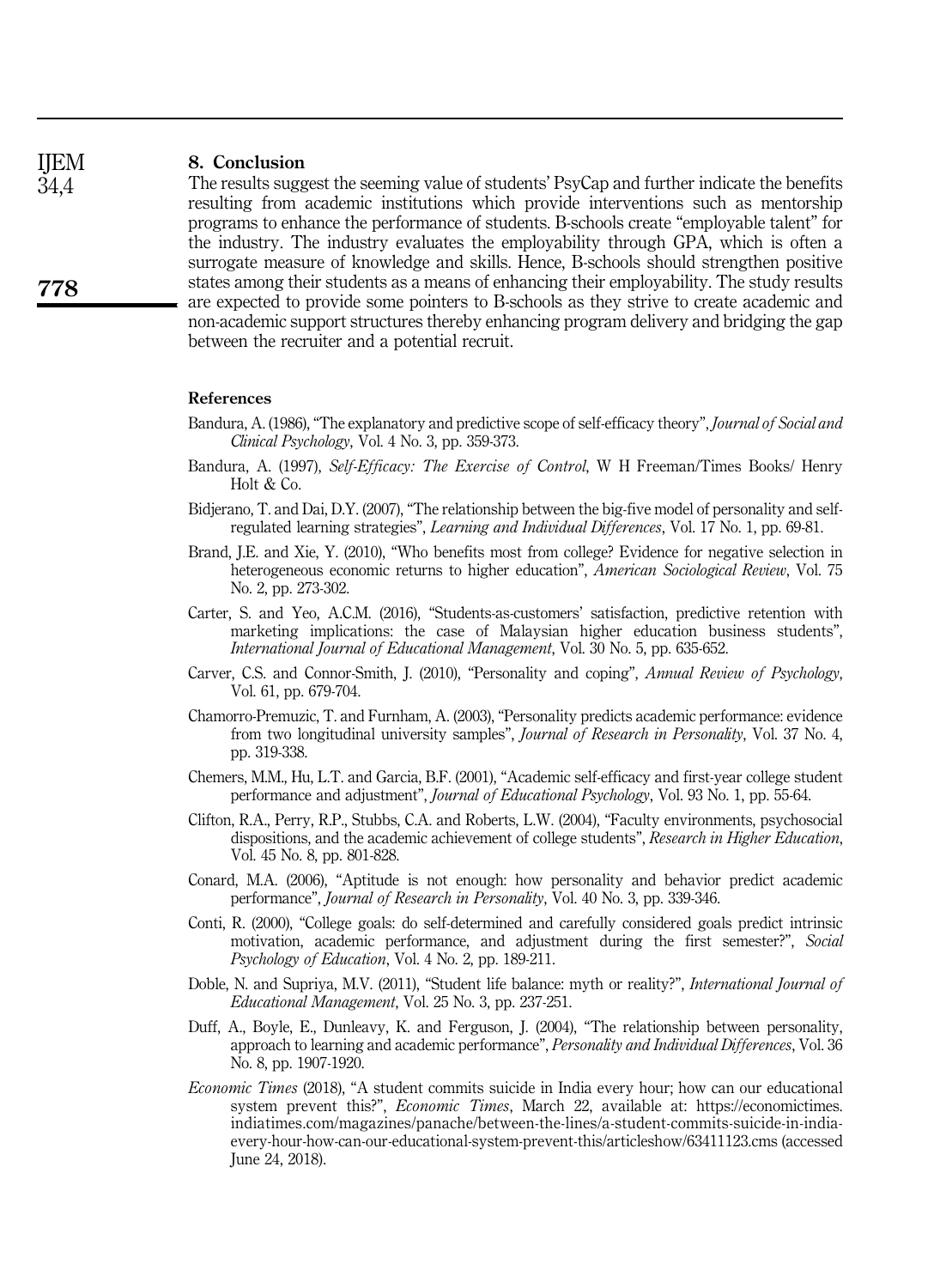#### 8. Conclusion IJEM

The results suggest the seeming value of students' PsyCap and further indicate the benefits resulting from academic institutions which provide interventions such as mentorship programs to enhance the performance of students. B-schools create "employable talent" for the industry. The industry evaluates the employability through GPA, which is often a surrogate measure of knowledge and skills. Hence, B-schools should strengthen positive states among their students as a means of enhancing their employability. The study results are expected to provide some pointers to B-schools as they strive to create academic and non-academic support structures thereby enhancing program delivery and bridging the gap between the recruiter and a potential recruit.

#### References

- Bandura, A. (1986), "The explanatory and predictive scope of self-efficacy theory", *Journal of Social and Clinical Psychology*, Vol. 4 No. 3, pp. 359-373.
- Bandura, A. (1997), *Self-Efficacy: The Exercise of Control*, W H Freeman/Times Books/ Henry Holt & Co.
- Bidjerano, T. and Dai, D.Y. (2007), "The relationship between the big-five model of personality and selfregulated learning strategies", *Learning and Individual Differences*, Vol. 17 No. 1, pp. 69-81.
- Brand, J.E. and Xie, Y. (2010), "Who benefits most from college? Evidence for negative selection in heterogeneous economic returns to higher education", *American Sociological Review*, Vol. 75 No. 2, pp. 273-302.
- Carter, S. and Yeo, A.C.M. (2016), "Students-as-customers' satisfaction, predictive retention with marketing implications: the case of Malaysian higher education business students", *International Journal of Educational Management*, Vol. 30 No. 5, pp. 635-652.
- Carver, C.S. and Connor-Smith, J. (2010), "Personality and coping", *Annual Review of Psychology*, Vol. 61, pp. 679-704.
- Chamorro-Premuzic, T. and Furnham, A. (2003), "Personality predicts academic performance: evidence from two longitudinal university samples", *Journal of Research in Personality*, Vol. 37 No. 4, pp. 319-338.
- Chemers, M.M., Hu, L.T. and Garcia, B.F. (2001), "Academic self-efficacy and first-year college student performance and adjustment", *Journal of Educational Psychology*, Vol. 93 No. 1, pp. 55-64.
- Clifton, R.A., Perry, R.P., Stubbs, C.A. and Roberts, L.W. (2004), "Faculty environments, psychosocial dispositions, and the academic achievement of college students", *Research in Higher Education*, Vol. 45 No. 8, pp. 801-828.
- Conard, M.A. (2006), "Aptitude is not enough: how personality and behavior predict academic performance", *Journal of Research in Personality*, Vol. 40 No. 3, pp. 339-346.
- Conti, R. (2000), "College goals: do self-determined and carefully considered goals predict intrinsic motivation, academic performance, and adjustment during the first semester?", *Social Psychology of Education*, Vol. 4 No. 2, pp. 189-211.
- Doble, N. and Supriya, M.V. (2011), "Student life balance: myth or reality?", *International Journal of Educational Management*, Vol. 25 No. 3, pp. 237-251.
- Duff, A., Boyle, E., Dunleavy, K. and Ferguson, J. (2004), "The relationship between personality, approach to learning and academic performance", *Personality and Individual Differences*, Vol. 36 No. 8, pp. 1907-1920.
- *Economic Times* (2018), "A student commits suicide in India every hour; how can our educational system prevent this?", *Economic Times*, March 22, available at: https://economictimes. indiatimes.com/magazines/panache/between-the-lines/a-student-commits-suicide-in-indiaevery-hour-how-can-our-educational-system-prevent-this/articleshow/63411123.cms (accessed June 24, 2018).

778

34,4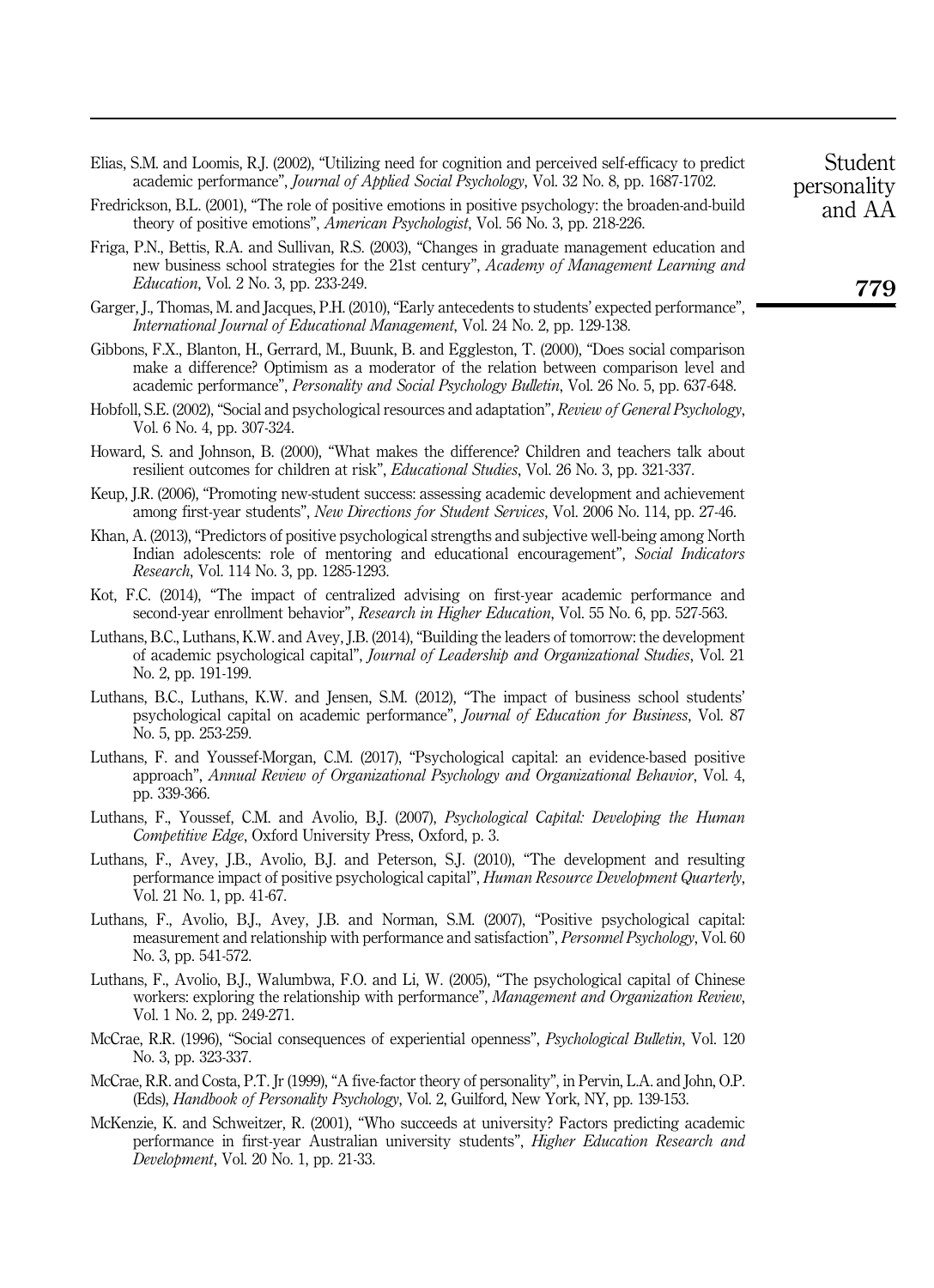- Elias, S.M. and Loomis, R.J. (2002), "Utilizing need for cognition and perceived self-efficacy to predict academic performance", *Journal of Applied Social Psychology*, Vol. 32 No. 8, pp. 1687-1702.
- Fredrickson, B.L. (2001), "The role of positive emotions in positive psychology: the broaden-and-build theory of positive emotions", *American Psychologist*, Vol. 56 No. 3, pp. 218-226.
- Friga, P.N., Bettis, R.A. and Sullivan, R.S. (2003), "Changes in graduate management education and new business school strategies for the 21st century", *Academy of Management Learning and Education*, Vol. 2 No. 3, pp. 233-249.
- Garger, J., Thomas, M. and Jacques, P.H. (2010), "Early antecedents to students' expected performance", *International Journal of Educational Management*, Vol. 24 No. 2, pp. 129-138.
- Gibbons, F.X., Blanton, H., Gerrard, M., Buunk, B. and Eggleston, T. (2000), "Does social comparison make a difference? Optimism as a moderator of the relation between comparison level and academic performance", *Personality and Social Psychology Bulletin*, Vol. 26 No. 5, pp. 637-648.
- Hobfoll, S.E. (2002), "Social and psychological resources and adaptation", *Review of General Psychology*, Vol. 6 No. 4, pp. 307-324.
- Howard, S. and Johnson, B. (2000), "What makes the difference? Children and teachers talk about resilient outcomes for children at risk", *Educational Studies*, Vol. 26 No. 3, pp. 321-337.
- Keup, J.R. (2006), "Promoting new-student success: assessing academic development and achievement among first-year students", *New Directions for Student Services*, Vol. 2006 No. 114, pp. 27-46.
- Khan, A. (2013), "Predictors of positive psychological strengths and subjective well-being among North Indian adolescents: role of mentoring and educational encouragement", *Social Indicators Research*, Vol. 114 No. 3, pp. 1285-1293.
- Kot, F.C. (2014), "The impact of centralized advising on first-year academic performance and second-year enrollment behavior", *Research in Higher Education*, Vol. 55 No. 6, pp. 527-563.
- Luthans, B.C., Luthans, K.W. and Avey, J.B. (2014), "Building the leaders of tomorrow: the development of academic psychological capital", *Journal of Leadership and Organizational Studies*, Vol. 21 No. 2, pp. 191-199.
- Luthans, B.C., Luthans, K.W. and Jensen, S.M. (2012), "The impact of business school students' psychological capital on academic performance", *Journal of Education for Business*, Vol. 87 No. 5, pp. 253-259.
- Luthans, F. and Youssef-Morgan, C.M. (2017), "Psychological capital: an evidence-based positive approach", *Annual Review of Organizational Psychology and Organizational Behavior*, Vol. 4, pp. 339-366.
- Luthans, F., Youssef, C.M. and Avolio, B.J. (2007), *Psychological Capital: Developing the Human Competitive Edge*, Oxford University Press, Oxford, p. 3.
- Luthans, F., Avey, J.B., Avolio, B.J. and Peterson, S.J. (2010), "The development and resulting performance impact of positive psychological capital", *Human Resource Development Quarterly*, Vol. 21 No. 1, pp. 41-67.
- Luthans, F., Avolio, B.J., Avey, J.B. and Norman, S.M. (2007), "Positive psychological capital: measurement and relationship with performance and satisfaction", *Personnel Psychology*, Vol. 60 No. 3, pp. 541-572.
- Luthans, F., Avolio, B.J., Walumbwa, F.O. and Li, W. (2005), "The psychological capital of Chinese workers: exploring the relationship with performance", *Management and Organization Review*, Vol. 1 No. 2, pp. 249-271.
- McCrae, R.R. (1996), "Social consequences of experiential openness", *Psychological Bulletin*, Vol. 120 No. 3, pp. 323-337.
- McCrae, R.R. and Costa, P.T. Jr (1999), "A five-factor theory of personality", in Pervin, L.A. and John, O.P. (Eds), *Handbook of Personality Psychology*, Vol. 2, Guilford, New York, NY, pp. 139-153.
- McKenzie, K. and Schweitzer, R. (2001), "Who succeeds at university? Factors predicting academic performance in first-year Australian university students", *Higher Education Research and Development*, Vol. 20 No. 1, pp. 21-33.

personality and AA

Student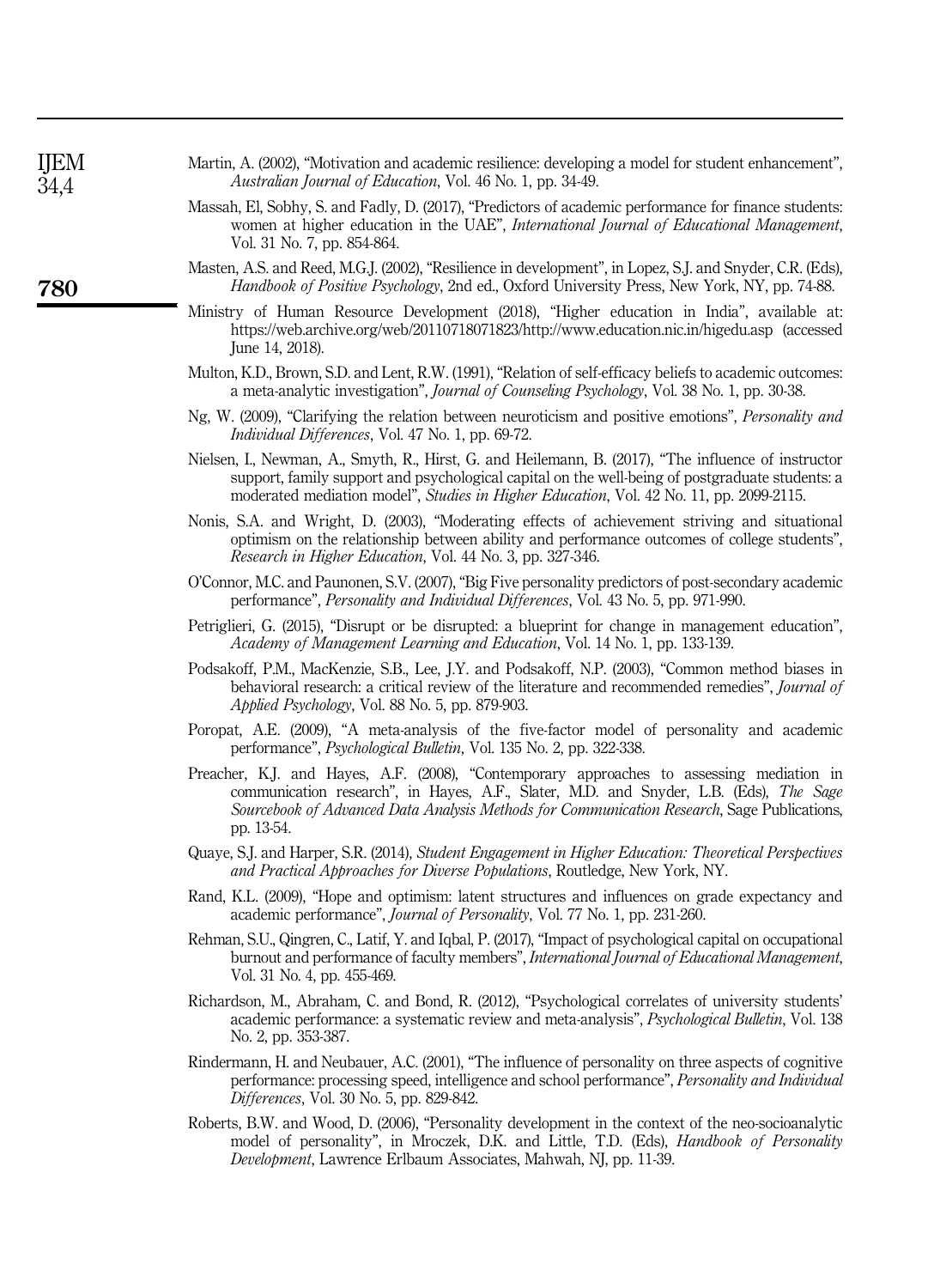| IJEM<br>34,4 | Martin, A. (2002), "Motivation and academic resilience: developing a model for student enhancement"<br>Australian Journal of Education, Vol. 46 No. 1, pp. 34-49.                                                                                                                                  |
|--------------|----------------------------------------------------------------------------------------------------------------------------------------------------------------------------------------------------------------------------------------------------------------------------------------------------|
|              | Massah, El, Sobhy, S. and Fadly, D. (2017), "Predictors of academic performance for finance students<br>women at higher education in the UAE", International Journal of Educational Management.<br>Vol. 31 No. 7, pp. 854-864.                                                                     |
| 780          | Masten, A.S. and Reed, M.G.J. (2002), "Resilience in development", in Lopez, S.J. and Snyder, C.R. (Eds).<br><i>Handbook of Positive Psychology, 2nd ed., Oxford University Press, New York, NY, pp. 74-88.</i>                                                                                    |
|              | Ministry of Human Resource Development (2018), "Higher education in India", available at<br>https://web.archive.org/web/20110718071823/http://www.education.nic.in/higedu.asp (accessed<br>June 14, 2018).                                                                                         |
|              | Multon, K.D., Brown, S.D. and Lent, R.W. (1991), "Relation of self-efficacy beliefs to academic outcomes<br>a meta-analytic investigation", <i>Journal of Counseling Psychology</i> , Vol. 38 No. 1, pp. 30-38.                                                                                    |
|              | Ng, W. (2009), "Clarifying the relation between neuroticism and positive emotions", <i>Personality and</i><br><i>Individual Differences, Vol. 47 No. 1, pp. 69-72.</i>                                                                                                                             |
|              | Nielsen, I., Newman, A., Smyth, R., Hirst, G. and Heilemann, B. (2017), "The influence of instructor<br>support, family support and psychological capital on the well-being of postgraduate students: a<br>moderated mediation model", Studies in Higher Education, Vol. 42 No. 11, pp. 2099-2115. |
|              | Nonis, S.A. and Wright, D. (2003), "Moderating effects of achievement striving and situational<br>optimism on the relationship between ability and performance outcomes of college students"<br>Research in Higher Education, Vol. 44 No. 3, pp. 327-346.                                          |
|              | O'Connor, M.C. and Paunonen, S.V. (2007), "Big Five personality predictors of post-secondary academic<br>performance", <i>Personality and Individual Differences</i> , Vol. 43 No. 5, pp. 971-990.                                                                                                 |
|              | Petriglieri, G. (2015), "Disrupt or be disrupted: a blueprint for change in management education"<br>Academy of Management Learning and Education, Vol. 14 No. 1, pp. 133-139.                                                                                                                     |
|              | Podsakoff, P.M., MacKenzie, S.B., Lee, J.Y. and Podsakoff, N.P. (2003), "Common method biases in<br>behavioral research: a critical review of the literature and recommended remedies", Journal of<br>Applied Psychology, Vol. 88 No. 5, pp. 879-903.                                              |
|              | Poropat, A.E. (2009), "A meta-analysis of the five-factor model of personality and academic<br>performance", <i>Psychological Bulletin</i> , Vol. 135 No. 2, pp. 322-338.                                                                                                                          |
|              | Preacher, K.J. and Hayes, A.F. (2008), "Contemporary approaches to assessing mediation in<br>communication research", in Hayes, A.F., Slater, M.D. and Snyder, L.B. (Eds), The Sage<br>Sourcebook of Advanced Data Analysis Methods for Communication Research, Sage Publications,<br>pp. 13-54.   |
|              | Quaye, S.J. and Harper, S.R. (2014), Student Engagement in Higher Education: Theoretical Perspectives<br>and Practical Approaches for Diverse Populations, Routledge, New York, NY.                                                                                                                |
|              | Rand, K.L. (2009), "Hope and optimism: latent structures and influences on grade expectancy and<br>academic performance", <i>Journal of Personality</i> , Vol. 77 No. 1, pp. 231-260.                                                                                                              |
|              | Rehman, S.U., Qingren, C., Latif, Y. and Iqbal, P. (2017), "Impact of psychological capital on occupational<br>burnout and performance of faculty members", International Journal of Educational Management.<br>Vol. 31 No. 4, pp. 455-469.                                                        |
|              | Richardson, M., Abraham, C. and Bond, R. (2012), "Psychological correlates of university students'<br>academic performance: a systematic review and meta-analysis", Psychological Bulletin, Vol. 138<br>No. 2, pp. 353-387.                                                                        |
|              | Rindermann, H. and Neubauer, A.C. (2001), "The influence of personality on three aspects of cognitive<br>performance: processing speed, intelligence and school performance", Personality and Individual<br>Differences, Vol. 30 No. 5, pp. 829-842.                                               |
|              | Roberts, B.W. and Wood, D. (2006), "Personality development in the context of the neo-socioanalytic<br>model of personality", in Mroczek, D.K. and Little, T.D. (Eds), <i>Handbook of Personality</i><br>Development, Lawrence Erlbaum Associates, Mahwah, NJ, pp. 11-39.                          |